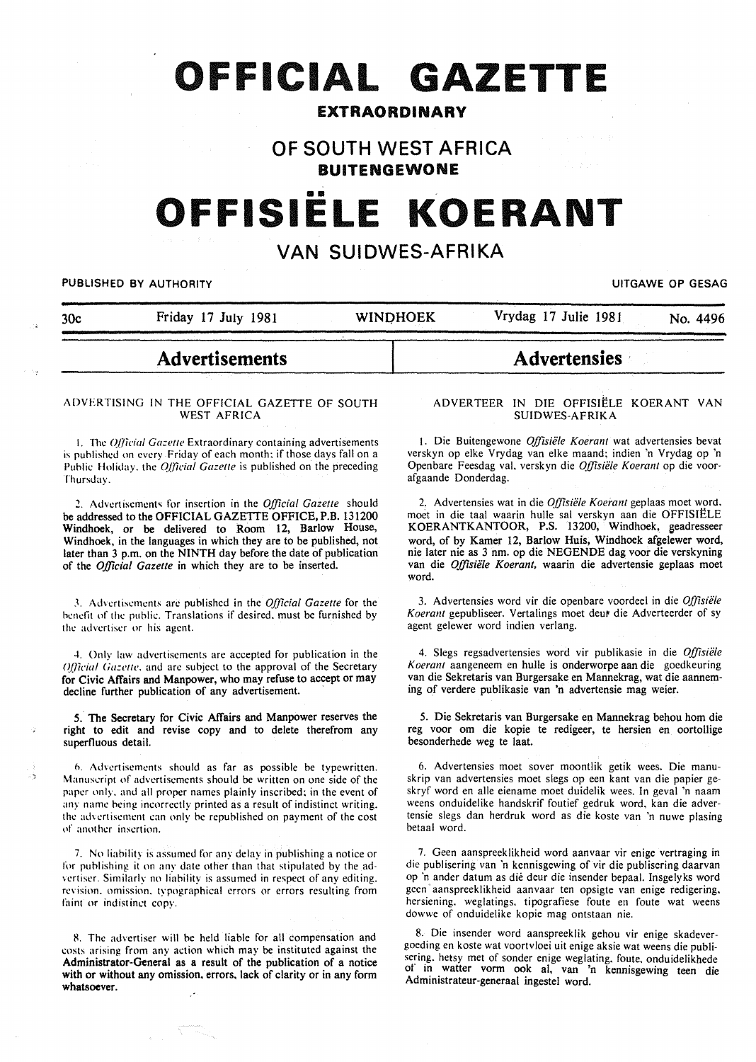# **OFFICIAL GAZETTE**

### **EXTRAORDINARY**

### **OF SOUTH WEST AFRICA BUITENGEWONE**

# •• **OFFISIELE KOERANT**

## **VAN SUIDWES-AFRIKA**

PUBLISHED BY AUTHORITY **EXECUTE A SECURE 2018 THE SECURE 2019 OF GESAGREER AND SECURE 2019** 

| 30c | Friday 17 July 1981 | <b>WINDHOEK</b> | Vrydag 17 Julie 1981 | No. 4496 |
|-----|---------------------|-----------------|----------------------|----------|

# **Advertisements**

## **Advertensies** ·

#### ADVERTISING IN THE OFFICIAL GAZETTE OF SOUTH WEST AFRICA

1. The *Official Gazette* Extraordinary containing advertisements is published on every Friday of each month: if those days fall on a Public Holiday. the *Official Gazette* is published on the preceding Thursday.

~- Advertisement~ for insertion in the *Official Gazette* should be addressed to the OFFICIAL GAZETTE OFFICE, P.B. 131200 Windhoek, or be delivered to Room 12, Barlow House, Windhoek, in the languages in which they are to be published, not later than 3 p.m. on the NINTH day before the date of publication of the *Official Gazette* in which they are to be inserted.

J. Advertisements arc published in the *O.{jicial Gazette* for the benefit of the puhlic. Translations if desired. must be furnished by the advertiser or his agent.

4. Only law advertisements arc accepted for publication in the *Official Gazette*, and are subject to the approval of the Secretary for Civic Affairs and Manpower, who may refuse to accept or may decline further publication of any advertisement.

*5.* The Secretary for Civic Affairs and Manpower reserves the right to edit and revise copy and to delete therefrom any superfluous detail.

*h.* Advertisements should as far as possible be typewritten. Manuscript of advertisements should be written on one side of the paper only. and all proper names plainly inscribed: in the event of any name being incorrectly printed as a result of indistinct writing. the advertisement can only be republished on payment of the cost of another insertion.

7. No liability is assumed for any delay in publishing a notice or for publishing it on any date other than that stipulated by the advertiser. Similarly no liability is assumed in respect of any editing. revision. omission. typographical errors or errors resulting from faint or indistinct copy.

8. The advertiser will be held liable for all compensation and costs arising from any action which may be instituted against the Administrator-General as a result of the publication of a notice with or without any omission, errors, lack of clarity or in any form whatsoever.

#### ADVERTEER IN DIE OFFISIELE KOERANT VAN SUIDWES-AFRIKA

1. Die Buitengewone *Offisiele Koerant* wat advertensies bevat verskyn op elke Vrydag van elke maand; indien 'n Vrydag op 'n Openbare Feesdag val. verskyn die *Offisiele Koerant* op die voorafgaande Donderdag.

2. Advertensies wat in die *Offisiele Koerant* geplaas moet word. moet in die taal waarin hulle sal verskyn aan die OFFISIELE KOERANTKANTOOR, P.S. 13200, Windhoek, geadresseer word, of by Kamer 12, Barlow Huis, Windhoek afgelewer word, nie later nie as 3 nm. op die NEGENDE dag voor die verskyning van die *Offisiele Koerant,* waarin die advertensie geplaas moet word.

3. Advertensies word vir die openbare voordeel in die *Offisiele*  Koerant gepubliseer. Vertalings moet deur die Adverteerder of sy agent gelewer word indien verlang.

4. Slegs regsadvertensies word vir publikasie in die *Offisiele Koerant* aangeneem en bulle is onderworpe aan die goedkeuring van die Sekretaris van Burgersake en Mannekrag, wat die aanneming of verdere publikasie van 'n advertensie mag weier.

5. Die Sekretaris van Burgersake en Mannekrag behou hom die reg voor om die kopie te redigeer, te hersien en oortollige besonderhede weg te laat.

6. Advertensies moet sover moontlik getik wees. Die manuskrip van advertensies moet slegs op een kant van die papier geskryf word en aile eiename moet duidelik wees. In geval 'n naam weens onduidelike handskrif foutief gedruk word, kan die advertensie slegs dan herdruk word as die koste van 'n nuwe plasing betaal word.

7. Geen aanspreeklikheid word aanvaar vir enige vertraging in die publisering van 'n kennisgewing of vir die publisering daarvan op ·n ander datum as die deur die insender bepaal. Insgelyks word geen aanspreeklikheid aanvaar ten opsigte van enige redigering. hersiening. weglatings. tipografiese foute en foute wat weens dowwe of onduidelike kopie mag ontstaan nie.

8. Die insender word aanspreeklik gehou vir enige skadevergoeding en koste wat voortvloei uit enige aksie wat weens die publisering. hetsy met of sonder enige weglating, foute. onduidelikhede of In watter vorm ook al, van 'n kennisgewing teen die Administrateur-generaal ingestel word.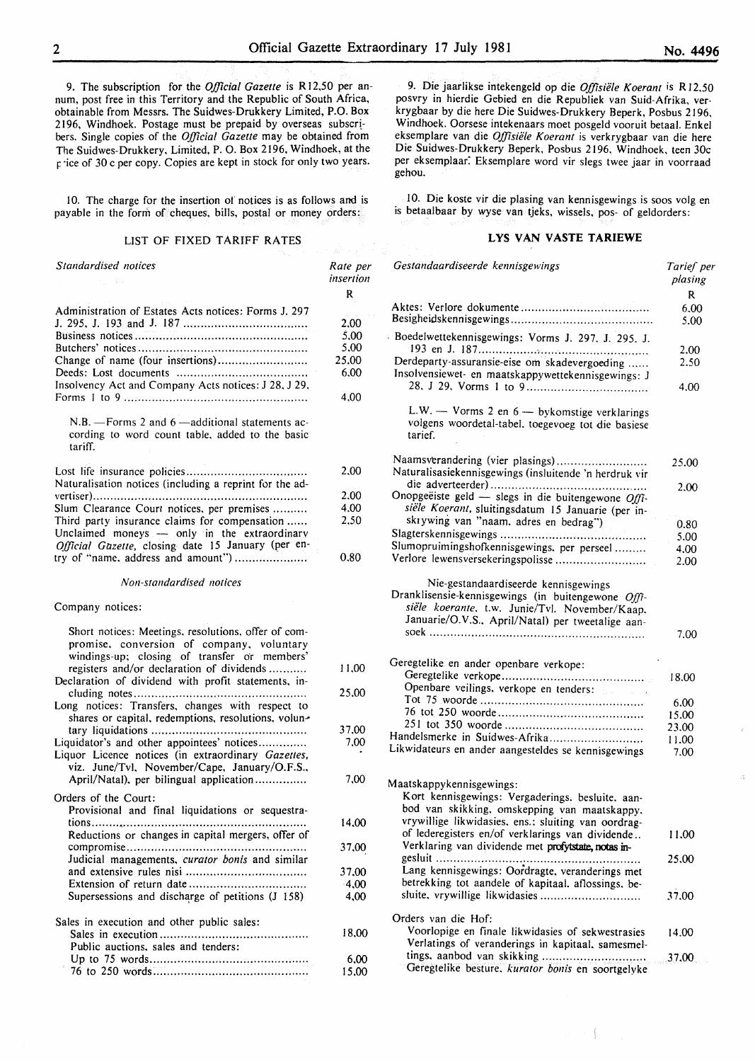9. The subscription for the *Official Gazette* is Rl2,50 per annum, post free in this Territory and the Republic of South Africa, obtainable from Messrs. The Suidwes-Drukkery Limited, P.O. Box 2196, Windhoek. Postage must be prepaid by overseas subscribers. Single copies of the *Official Gazette* may be obtained from The Suidwes-Drukkery, Limited, P. 0. Box 2196, Windhoek, at the price of 30 c per copy. Copies are kept in stock for only two years.

I 0. The charge for the insertion or notices is as follows and is payable in the form of cheques, bills, postal or money orders:

#### LIST OF FIXED TARIFF RATES

| Standardised notices                                                                                                                             | Rate per<br>insertion |
|--------------------------------------------------------------------------------------------------------------------------------------------------|-----------------------|
|                                                                                                                                                  | R                     |
| Administration of Estates Acts notices: Forms J. 297                                                                                             |                       |
|                                                                                                                                                  | 2,00                  |
|                                                                                                                                                  | 5,00                  |
|                                                                                                                                                  | 5,00                  |
| Change of name (four insertions)                                                                                                                 | 25,00<br>6.00         |
| Insolvency Act and Company Acts notices: J 28, J 29,                                                                                             |                       |
|                                                                                                                                                  | 4,00                  |
| $N.B.$ - Forms 2 and 6 - additional statements ac-<br>cording to word count table, added to the basic<br>tariff.                                 |                       |
|                                                                                                                                                  |                       |
| Naturalisation notices (including a reprint for the ad-                                                                                          | 2,00                  |
|                                                                                                                                                  | 2,00                  |
| Slum Clearance Court notices, per premises                                                                                                       | 4.00                  |
| Third party insurance claims for compensation                                                                                                    | 2.50                  |
| Unclaimed moneys - only in the extraordinary                                                                                                     |                       |
| Official Gazette, closing date 15 January (per en-                                                                                               |                       |
| try of "name, address and amount")                                                                                                               | 0.80                  |
| Non-standardised notices                                                                                                                         |                       |
| Company notices:                                                                                                                                 |                       |
| Short notices: Meetings, resolutions, offer of com-<br>promise, conversion of company, voluntary<br>windings-up; closing of transfer or members' |                       |
| registers and/or declaration of dividends                                                                                                        | 11,00                 |
| Declaration of dividend with profit statements, in-                                                                                              |                       |
|                                                                                                                                                  | 25,00                 |
| Long notices: Transfers, changes with respect to<br>shares or capital, redemptions, resolutions, volun-                                          |                       |
|                                                                                                                                                  | 37,00                 |
| Liquidator's and other appointees' notices<br>Liquor Licence notices (in extraordinary Gazettes,                                                 | 7,00                  |
| viz. June/Tvl, November/Cape, January/O.F.S.,                                                                                                    |                       |
| April/Natal), per bilingual application                                                                                                          | 7,00                  |
| Orders of the Court:                                                                                                                             |                       |
| Provisional and final liquidations or sequestra-                                                                                                 |                       |
| Reductions or changes in capital mergers, offer of                                                                                               | 14,00                 |
|                                                                                                                                                  | 37,00                 |
| Judicial managements, curator bonis and similar                                                                                                  |                       |
|                                                                                                                                                  | 37,00                 |
|                                                                                                                                                  | $-4,00$               |
| Supersessions and discharge of petitions (J 158)                                                                                                 | 4,00                  |
| and the contract of the state of the contract of the contract of the contract of the contract of the contract of                                 |                       |

Sales in execution and other public sales: Sales in execution .......................................... . Public auctions. sales and tenders: Up to 75 words ............................................. . 76 to 250 words ............................................ . 18,00 6,00 15.00

9. Die jaarlikse intekengeld op die *Offisiele K oerant* is R 12.50 posvry in hierdie Gebied en die Republiek van Suid-Afrika, verkrygbaar by die here Die Suidwes-Drukkery Beperk, Posbus 2196, Windhoek. Oorsese intekenaars moet posgeld vooruit betaal. Enkel eksemplare van die *Offisiele Koerant* is verkrygbaar van die here Die Suidwes-Drukkery Beperk, Posbus 2196, Windhoek, teen 30c per eksemplaar: Eksemplare word vir slegs twee jaar in voorraad gehou.

10. Die koste vir die plasing van kennisgewings is soos volg en is betaalbaar by wyse van tjeks, wissels, pos- of geldorders:

#### LYS VAN VASTE TARIEWE

| Gestandaardiseerde kennisgewings                                                                                                                                                                  | Tarief per<br>plasing |
|---------------------------------------------------------------------------------------------------------------------------------------------------------------------------------------------------|-----------------------|
|                                                                                                                                                                                                   | R                     |
|                                                                                                                                                                                                   | 6.00                  |
|                                                                                                                                                                                                   | 5.00                  |
| Boedelwettekennisgewings: Vorms J. 297, J. 295. J.                                                                                                                                                |                       |
|                                                                                                                                                                                                   | 2.00                  |
| Derdeparty-assuransie-eise om skadevergoeding<br>Insolvensiewet- en maatskappywettekennisgewings: J                                                                                               | 2.50<br>4.00          |
|                                                                                                                                                                                                   |                       |
| L.W. - Vorms 2 en 6 - bykomstige verklarings<br>volgens woordetal-tabel, toegevoeg tot die basiese<br>tarief.                                                                                     |                       |
| Naamsverandering (vier plasings)<br>Naturalisasiekennisgewings (insluitende 'n herdruk vir                                                                                                        | 25.00                 |
|                                                                                                                                                                                                   | 2,00                  |
| Onopgeëiste geld - slegs in die buitengewone Offi-<br>siële Koerant, sluitingsdatum 15 Januarie (per in-                                                                                          |                       |
| skrywing van "naam, adres en bedrag")                                                                                                                                                             | 0.80                  |
|                                                                                                                                                                                                   | 5.00                  |
| Slumopruimingshofkennisgewings, per perseel                                                                                                                                                       | 4.00                  |
| Verlore lewensversekeringspolisse                                                                                                                                                                 | 2.00                  |
|                                                                                                                                                                                                   |                       |
| Nie-gestandaardiseerde kennisgewings<br>Dranklisensie-kennisgewings (in buitengewone Offi-<br>siële koerante, t.w. Junie/Tvl. November/Kaap.<br>Januarie/O.V.S., April/Natal) per tweetalige aan- |                       |
|                                                                                                                                                                                                   | 7.00                  |
|                                                                                                                                                                                                   |                       |
| Geregtelike en ander openbare verkope:                                                                                                                                                            |                       |
|                                                                                                                                                                                                   | 18.00                 |
| Openbare veilings, verkope en tenders:                                                                                                                                                            |                       |
|                                                                                                                                                                                                   | 6.00                  |
|                                                                                                                                                                                                   | 15.00                 |
|                                                                                                                                                                                                   | 23.00                 |
| Handelsmerke in Suidwes-Afrika                                                                                                                                                                    | 11.00                 |
| Likwidateurs en ander aangesteldes se kennisgewings                                                                                                                                               | 7.00                  |
| Maatskappykennisgewings:<br>Kort kennisgewings: Vergaderings. besluite. aan-<br>bod van skikking, omskepping van maatskappy.                                                                      |                       |
| vrywillige likwidasies, ens.: sluiting van oordrag-                                                                                                                                               |                       |
| of lederegisters en/of verklarings van dividende<br>Verklaring van dividende met profytstate, notas in-                                                                                           | 11.00                 |
|                                                                                                                                                                                                   | 25,00                 |
| Lang kennisgewings: Oordragte, veranderings met                                                                                                                                                   |                       |
| betrekking tot aandele of kapitaal, aflossings, be-                                                                                                                                               |                       |
| sluite, vrywillige likwidasies                                                                                                                                                                    | 37.00                 |
| Orders van die Hof:                                                                                                                                                                               |                       |
| Voorlopige en finale likwidasies of sekwestrasies                                                                                                                                                 | 14.00                 |
| Verlatings of veranderings in kapitaal, samesmel-                                                                                                                                                 |                       |
| tings, aanbod van skikking                                                                                                                                                                        | 37.00                 |
| Geregtelike besture. kurator bonis en soortgelyke                                                                                                                                                 |                       |

 $\sim$  [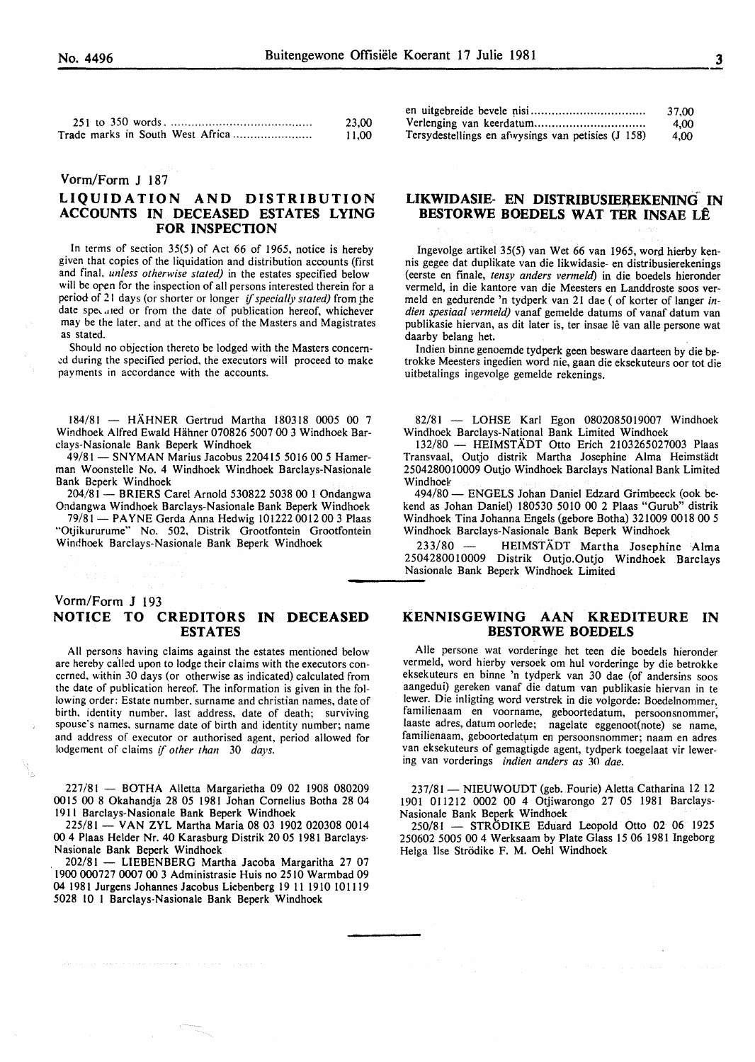|                                  | 23.00 |
|----------------------------------|-------|
| Trade marks in South West Africa | 11.00 |

#### Yorm/Form J 187

#### **LIQUIDATION AND DISTRIBUTION ACCOUNTS IN DECEASED ESTATES LYING FOR INSPECTION**

In terms of section 35(5) of Act 66 of 1965, notice is hereby given that copies of the liquidation and distribution accounts (first and final. *unless otherwise stated)* in the estates specified below will be oren for the inspection of all persons interested therein for a period of 21 days (or shorter or longer *if specially stated)* from the date specified or from the date of publication hereof, whichever may be the later. and at the offices of the Masters and Magistrates as stated.

Should no objection thereto be lodged with the Masters concern- .:d during the specified period, the executors will proceed to make payments in accordance with the accounts.

184/81 - HAHNER Gertrud Martha 180318 0005 00 7 Windhoek Alfred Ewald Hahner 070826 5007 00 3 Windhoek Barclays-Nasionale Bank Beperk Windhoek

49/81- SNYMAN Marius Jacobus 220415 5016 00 *5* Hamerman Woonstelle No. 4 Windhoek Windhoek Barclays-Nasionale Bank Beperk Windhoek

204/81 - BRIERS Carel Arnold 530822 5038 00 1 Ondangwa Ondangwa Windhoek Barclays-Nasionale Bank Beperk Windhoek

79/81 - PAYNE Gerda Anna Hedwig 101222 0012 00 3 Plaas "Otjikururume" No. 502, Distrik Grootfontein Grootfontein Windhoek Barclays-Nasionale Bank Beperk Windhoek

# ----- Yorm/Form **J** <sup>193</sup> **NOTICE TO CREDITORS IN DECEASED ESTATES**

All persons having claims against the estates mentioned below are hereby called upon to lodge their claims with the executors concerned. within 30 days (or otherwise as indicated) calculated from the date of publication hereof. The information is given in the following order: Estate number. surname and christian names, date of birth. identity number. last address, date of death; surviving spouse's names. surname date of birth and identity number; name and address of executor or authorised agent, period allowed for lodgement of claims if *other than* 30 *days.* 

227/81 - BOTHA Alletta Margarietha 09 02 1908 080209 0015 00 8 Okahandja 28 05 1981 Johan Cornelius Botha 28 04 1911 Barclays-Nasionale Bank Beperk Windhoek

225/81- VAN ZYL Martha Maria 08 03 1902 020308 0014 00 4 Plaas Helder Nr. 40 Karasburg Distrik 20 05 1981 Barclays· Nasionale Bank Beperk Windhoek

202/81 - LIESENBERG Martha Jacoba Margaritha 27 07 1900 000727 0007 00 3 Administrasie Huis no 2510 Warmbad 09 04 1981 Jurgens Johannes Jacobus Liebenberg 19 11 1910 101119 5028 10 I Barclays-Nasionale Bank Beperk Windhoek

problems and company in the property continuously in

|                                                    | 37.00 |
|----------------------------------------------------|-------|
|                                                    | 4.00  |
| Tersydestellings en afwysings van petisies (J 158) | 4.00  |

#### **LIKWIDASIE- EN DISTRIBUSIEREKENING IN BESTORWE BOEDELS WAT TER INSAE LE**

Ingevolge artikel 35(5) van Wet 66 van 1965, word hierby kennis gegee dat duplikate van die likwidasie- en distribusierekenings (eerste en finale, *tensy anders venneld)* in die boedels hieronder vermeld, in die kantore van die Meesters en Landdroste soos vermeld en gedurende 'n tydperk van 21 dae ( of korter of Ianger *indien spesiaa/ vermeld)* vanaf gemelde datums of vanaf datum van publikasie hiervan, as dit later is, ter insae lê van alle persone wat daarby belang het.

Indien binne genoemde tydperk geen besware daarteen by die betrokke Meesters ingedien word nie, gaan die eksekuteurs oor tot die uitbetalings ingevolge gemelde rekenings.

82/81 - LOHSE Karl Egon 0802085019007 Windhoek Windhoek Barclays-National Bank Limited Windhoek

132/80 - HEIMSTADT Otto Erich 2103265027003 Plaas Transvaal, Outjo distrik Martha Josephine Alma Heimstädt 2504280010009 Outjo Windhoek Barclays National Bank Limited Windhoek<br> $494/80 -$ 

- ENGELS Johan Daniel Edzard Grimbeeck (ook bekend as Johan Daniel) 180530 5010 00 2 Plaas "Gurub" distrik Windhoek Tina Johanna Engels (gebore Botha) 321009 0018 00 *5*  Windhoek Barclays-Nasionale Bank Beperk Windhoek

233/80 - HEIMSTÄDT Martha Josephine Alma 2504280010009 Distrik Outjo.Outjo Windhoek Barclays Nasionale Bank Beperk Windhoek Limited

#### **KENNISGEWING AAN KREDITEURE IN BESTORWE BOEDELS**

Aile persone wat vorderinge het teen die boedels hieronder vermeld, word hierby versoek om hul vorderinge by die betrokke eksekuteurs en binne 'n tydperk van 30 dae (of andersins soos aangedui) gereken vanaf die datum van publikasie hiervan in te !ewer. Die inligting word verstrek in die volgorde: Boedelnommer, familienaam en voorname, geboortedatum, persoonsnommer; laaste adres, datum oorlede; nagelate eggenoot(note) se name, familienaam, geboortedatum en persoonsnommer; naam en adres van eksekuteurs of gemagtigde agent, tydperk toegelaat vir lewering van vorderings *indien anders as* 30 *dae.* 

237/81 - NIEUWOUDT (geb. Fourie) Aletta Catharina 12 12 1901 011212 0002 00 4 Otjiwarongo 27 05 1981 Barclays-Nasionale Bank Beperk Windhoek

250/81 - STRÖDIKE Eduard Leopold Otto 02 06 1925 250602 5005 00 4 Werksaam by Plate Glass 15 06 1981 lngeborg Helga lise Strodike F. M. Oehl Windhoek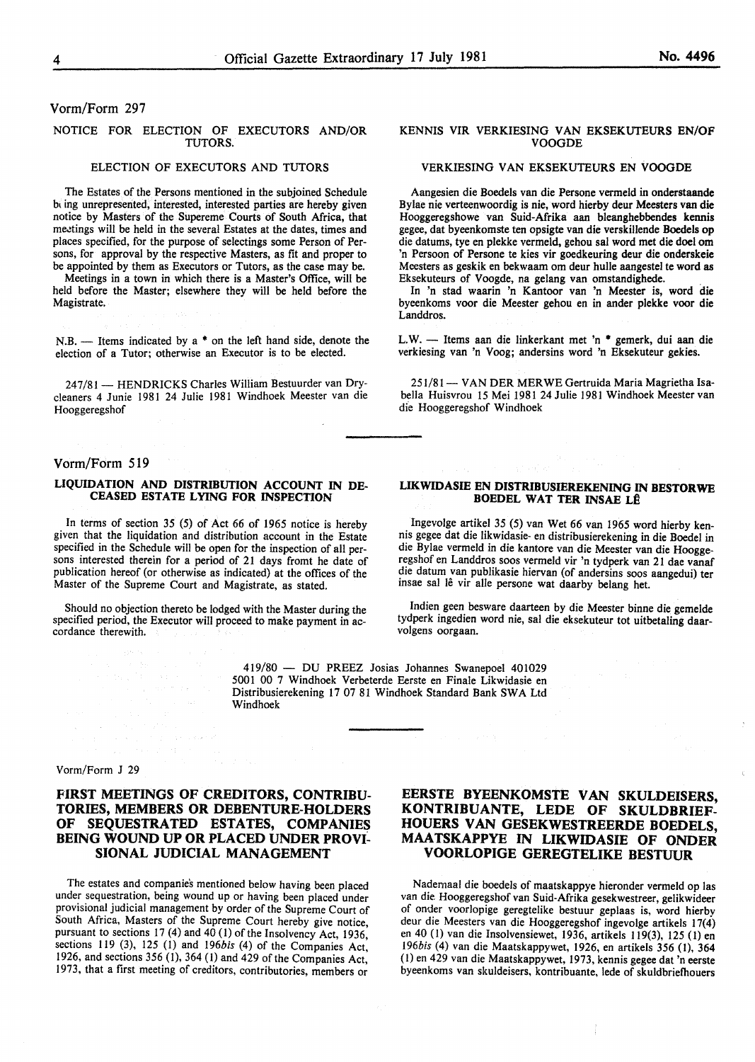#### Vorm/Form 297

#### NOTICE FOR ELECTION OF EXECUTORS AND/OR TUTORS.

#### ELECTION OF EXECUTORS AND TUTORS

The Estates of the Persons mentioned in the subjoined Schedule bl ing unrepresented, interested, interested parties are hereby given notice by Masters of the Supereme Courts of South Africa, that meetings will be held in the several Estates at the dates, times and places specified, for the purpose of selectings some Person of Persons, for approval by the respective Masters, as fit and proper to be appointed by them as Executors or Tutors, as the case may be.

Meetings in a town in which there is a Master's Office, will be held before the Master; elsewhere they will be held before the Magistrate.

N.B.  $-$  Items indicated by a  $*$  on the left hand side, denote the election of a Tutor; otherwise an Executor is to be elected.

247/81 - HENDRICKS Charles William Bestuurder van Drycleaners 4 Junie 1981 24 Julie 1981 Windhoek Meester van die Hooggeregshof

#### Vorm/Form 519

#### LIQUIDATION AND DISTRJBUTION ACCOUNT IN DE-CEASED ESTATE LYING FOR INSPECTION

In terms of section 35 (5) of Act 66 of 1965 notice is hereby given that the liquidation and distribution account in the Estate specified in the Schedule will be open for the inspection of all persons interested therein for a period of 21 days fromt he date of publication hereof (or otherwise as indicated) at the offices of the Master of the Supreme Court and Magistrate, as stated.

Should no objection thereto be lodged with the Master during the specified period, the Executor will proceed to make payment in ac- cordance therewith.

> 419/80 - DU PREEZ Josias Johannes Swanepoel 401029 5001 00 7 Windhoek Verbeterde Eerste en Finale Likwidasie en Distribusierekening 17 07 81 Windhoek Standard Bank SWA Ltd Windhoek

#### Vorm/Form J 29

#### HRST MEETINGS OF CREDITORS, CONTRIBU-TORIES, MEMBERS OR DEBENTURE-HOLDERS OF SEQUESTRATED ESTATES, COMPANIES BEING WOUND UP OR PLACED UNDER PROVI-SIONAL JUDICIAL MANAGEMENT

The estates and companies mentioned below having been placed under sequestration, being wound up or having been placed under provisional judicial management by order of the Supreme Court of South Africa, Masters of the Supreme Court hereby give notice, pursuant to sections 17 (4) and 40 (I) of the Insolvency Act, 1936, sections 119 (3), 125 (1) and *196bis* (4) of the Companies Act, 1926, and sections 356 (1), 364 (1) and 429 of the Companies Act, 1973, that a first meeting of creditors, contributories, members or

#### KENNIS VIR VERKIESING VAN EKSEKUTEURS EN/OF VOOGDE

#### VERKIESING VAN EKSEKUTEURS EN VOOGDE

Aangesien die Boedels van die Persone vermeld in onderstaande Bylae nie verteenwoordig is nie, word hierby deur Meesters van die Hooggeregshowe van Suid-Afrika aan bleanghebbendes kennis gegee, dat byeenkomste ten opsigte van die verskillende Boedels op die datums, tye en plekke vermeld, gehou sal word met die doel om 'n Persoon of Persone te kies vir goedkeuring deur die onderskeie Meesters as geskik en bekwaam om deur hulle aangestel te word as Eksekuteurs of Voogde, na gelang van omstandighede. .

In 'n stad waarin 'n Kantoor van 'n Meester is, word die byeenkoms voor die Meester gehou en in ander plekke voor die Landdros.

L.W. - Items aan die linkerkant met 'n \* gemerk, dui aan die verkiesing van 'n Voog; andersins word 'n Eksekuteur gekies.

251/81 - VAN DER MERWE Gertruida Maria Magrietha Isabella Huisvrou 15 Mei 1981 24 Julie 1981 Windhoek Meester van die Hooggeregshof Windhoek

#### LIKWIDASIE EN DISTRJBUSIEREKENING IN BESTORWE BOEDEL WAT TER INSAE LÊ

Ingevolge artikel 35 (5) van Wet 66 van 1965 word hierby kennis gegee dat die likwidasie- en distribusierekening in die Boedel in die Bylae vermeld in die kantore van die Meester van die Hooggeregshof en Landdros soos vermeld vir 'n tydperk van 21 dae vanaf die datum van publikasie hiervan (of andersins soos aangedui) ter insae sal lê vir alle persone wat daarby belang het.

Indien geen besware daarteen by die Meester binne die gemelde tydperk ingedien word nie, sal die eksekuteur tot uitbetaling daarvolgens oorgaan.

EERSTE BYEENKOMSTE VAN SKULDEISERS, KONTRIBUANTE, LEDE OF SKULDBRIEF-HOUERS VAN GESEKWESTREERDE BOEDELS, MAA TSKAPPYE IN LIKWIDASIE OF ONDER VOORLOPIGE GEREGTELIKE BESTUUR

Nademaal die boedels of maatskappye hieronder vermeld op las van die. Hooggeregshof van Suid-Afrika gesekwestreer, gelikwideer of onder voorlopige geregtelike bestuur geplaas is, word hierby deur die Meesters van die Hooggeregshof ingevolge artikels 17(4) en 40 (I) van die Insolvensiewet, 1936, artikels 119(3), 125 (I) en *196bis* (4) van die Maatskappywet, 1926, en artikels 356 (I), 364 (I) en 429 van die Maatskappywet, 1973, kennis gegee dat 'n eerste byeenkoms van skuldeisers, kontribuante, lede of skuldbriefhouers